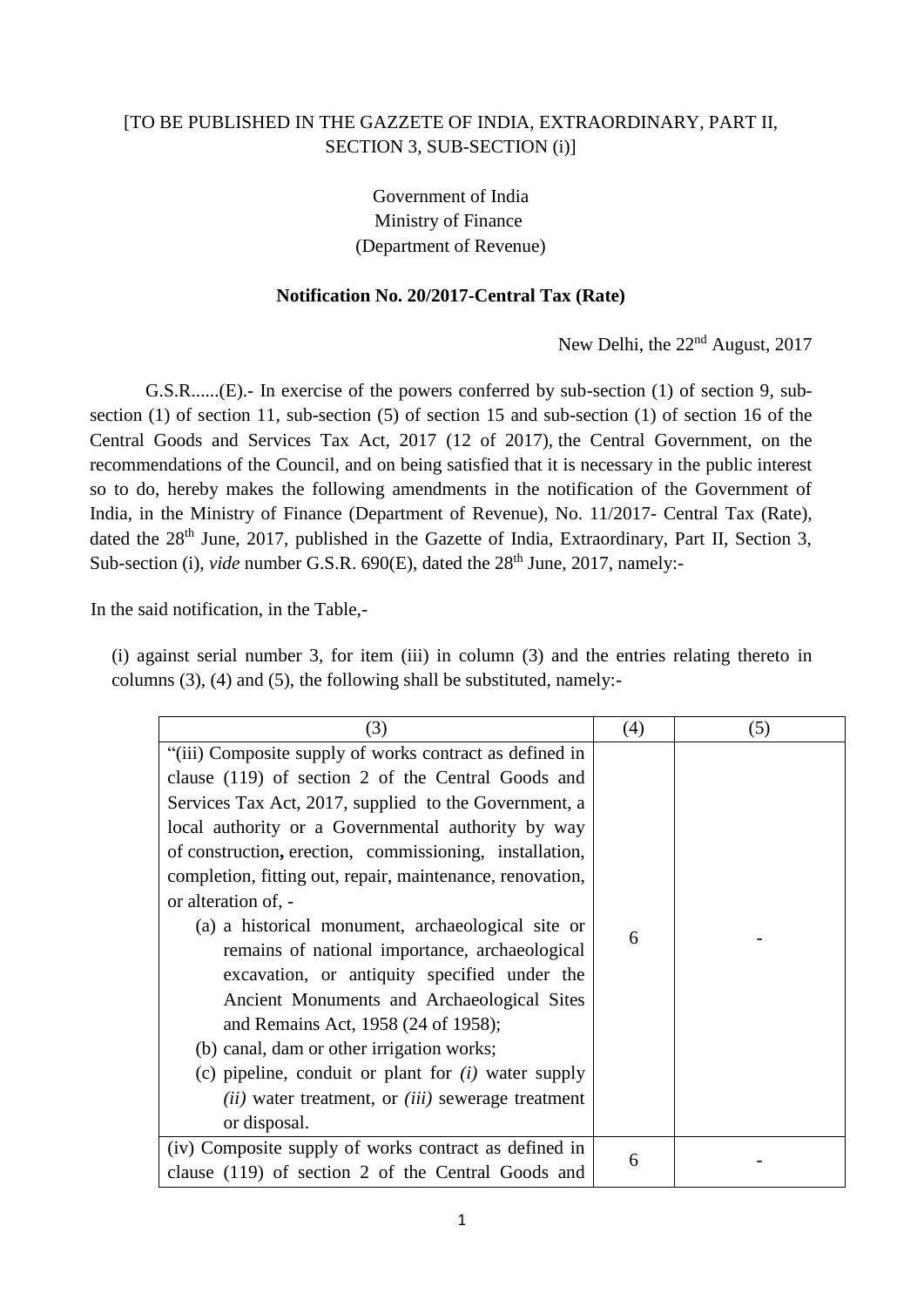## [TO BE PUBLISHED IN THE GAZZETE OF INDIA, EXTRAORDINARY, PART II, SECTION 3, SUB-SECTION (i)]

Government of India Ministry of Finance (Department of Revenue)

## **Notification No. 20/2017-Central Tax (Rate)**

New Delhi, the 22<sup>nd</sup> August, 2017

G.S.R......(E).- In exercise of the powers conferred by sub-section (1) of section 9, subsection (1) of section 11, sub-section (5) of section 15 and sub-section (1) of section 16 of the Central Goods and Services Tax Act, 2017 (12 of 2017), the Central Government, on the recommendations of the Council, and on being satisfied that it is necessary in the public interest so to do, hereby makes the following amendments in the notification of the Government of India, in the Ministry of Finance (Department of Revenue), No. 11/2017- Central Tax (Rate), dated the 28<sup>th</sup> June, 2017, published in the Gazette of India, Extraordinary, Part II, Section 3, Sub-section (i), *vide* number G.S.R. 690(E), dated the 28<sup>th</sup> June, 2017, namely:-

In the said notification, in the Table,-

(i) against serial number 3, for item (iii) in column (3) and the entries relating thereto in columns (3), (4) and (5), the following shall be substituted, namely:-

| (3)                                                                                                                                                                                                                                                                                                                                                                                                                                                                                                                                                                                                                                                                                                                                                                                                    | (4) | (5) |
|--------------------------------------------------------------------------------------------------------------------------------------------------------------------------------------------------------------------------------------------------------------------------------------------------------------------------------------------------------------------------------------------------------------------------------------------------------------------------------------------------------------------------------------------------------------------------------------------------------------------------------------------------------------------------------------------------------------------------------------------------------------------------------------------------------|-----|-----|
| "(iii) Composite supply of works contract as defined in<br>clause (119) of section 2 of the Central Goods and<br>Services Tax Act, 2017, supplied to the Government, a<br>local authority or a Governmental authority by way<br>of construction, erection, commissioning, installation,<br>completion, fitting out, repair, maintenance, renovation,<br>or alteration of, -<br>(a) a historical monument, archaeological site or<br>remains of national importance, archaeological<br>excavation, or antiquity specified under the<br>Ancient Monuments and Archaeological Sites<br>and Remains Act, 1958 (24 of 1958);<br>(b) canal, dam or other irrigation works;<br>(c) pipeline, conduit or plant for $(i)$ water supply<br>$(ii)$ water treatment, or $(iii)$ sewerage treatment<br>or disposal. | 6   |     |
| (iv) Composite supply of works contract as defined in<br>clause (119) of section 2 of the Central Goods and                                                                                                                                                                                                                                                                                                                                                                                                                                                                                                                                                                                                                                                                                            | 6   |     |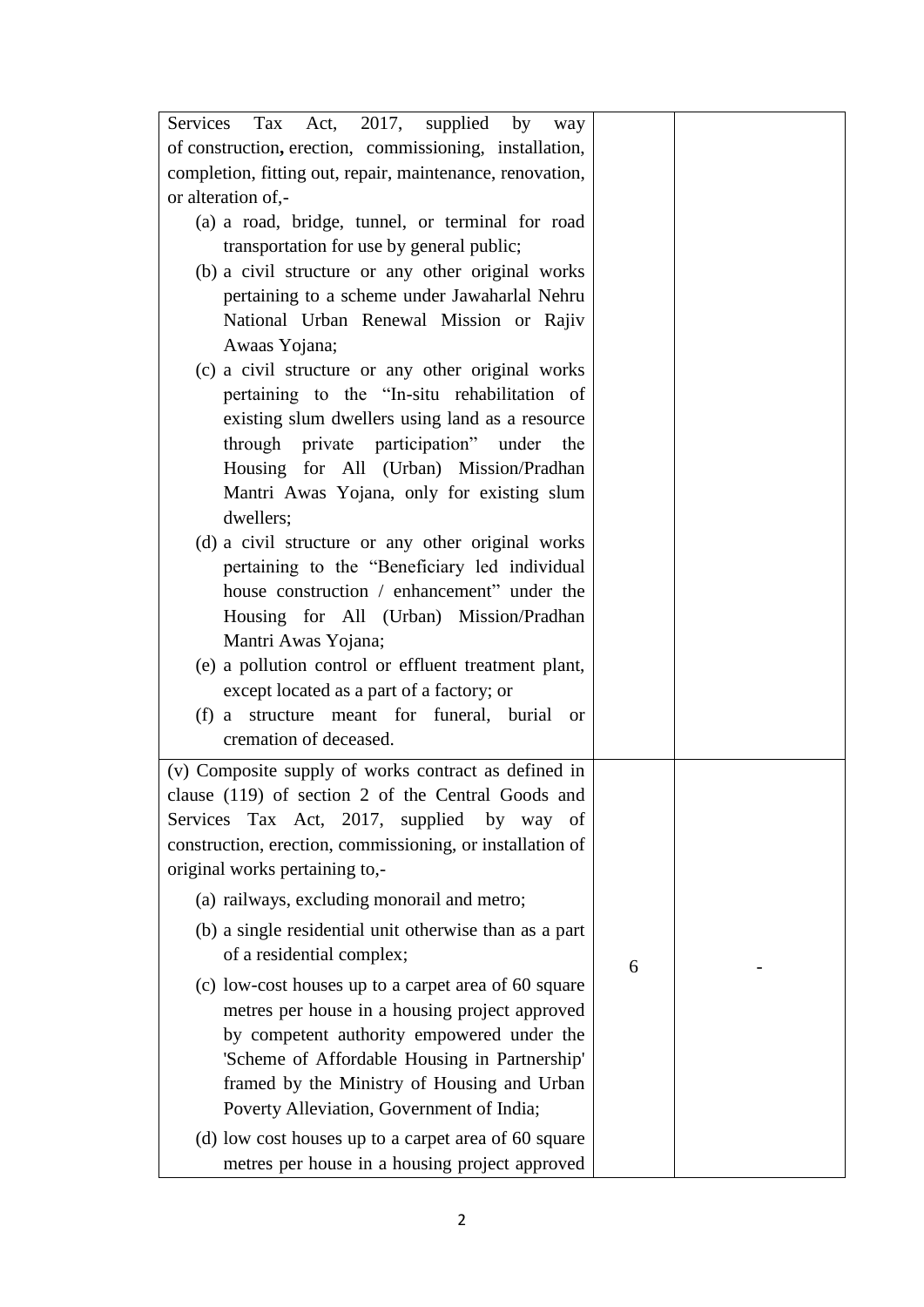| Services Tax Act, 2017, supplied by<br>way                 |   |  |
|------------------------------------------------------------|---|--|
| of construction, erection, commissioning, installation,    |   |  |
| completion, fitting out, repair, maintenance, renovation,  |   |  |
| or alteration of,-                                         |   |  |
| (a) a road, bridge, tunnel, or terminal for road           |   |  |
| transportation for use by general public;                  |   |  |
| (b) a civil structure or any other original works          |   |  |
| pertaining to a scheme under Jawaharlal Nehru              |   |  |
| National Urban Renewal Mission or Rajiv                    |   |  |
| Awaas Yojana;                                              |   |  |
| (c) a civil structure or any other original works          |   |  |
| pertaining to the "In-situ rehabilitation of               |   |  |
| existing slum dwellers using land as a resource            |   |  |
| through private participation" under the                   |   |  |
| Housing for All (Urban) Mission/Pradhan                    |   |  |
| Mantri Awas Yojana, only for existing slum                 |   |  |
| dwellers;                                                  |   |  |
| (d) a civil structure or any other original works          |   |  |
| pertaining to the "Beneficiary led individual              |   |  |
| house construction / enhancement" under the                |   |  |
| Housing for All (Urban) Mission/Pradhan                    |   |  |
| Mantri Awas Yojana;                                        |   |  |
| (e) a pollution control or effluent treatment plant,       |   |  |
| except located as a part of a factory; or                  |   |  |
| (f) a structure meant for funeral, burial<br><sub>or</sub> |   |  |
| cremation of deceased.                                     |   |  |
| (v) Composite supply of works contract as defined in       |   |  |
| clause (119) of section 2 of the Central Goods and         |   |  |
| Services Tax Act, 2017, supplied by way of                 |   |  |
| construction, erection, commissioning, or installation of  |   |  |
| original works pertaining to,-                             |   |  |
|                                                            |   |  |
| (a) railways, excluding monorail and metro;                |   |  |
| (b) a single residential unit otherwise than as a part     |   |  |
| of a residential complex;                                  | 6 |  |
| (c) low-cost houses up to a carpet area of 60 square       |   |  |
| metres per house in a housing project approved             |   |  |
| by competent authority empowered under the                 |   |  |
| 'Scheme of Affordable Housing in Partnership'              |   |  |
| framed by the Ministry of Housing and Urban                |   |  |
| Poverty Alleviation, Government of India;                  |   |  |
| (d) low cost houses up to a carpet area of 60 square       |   |  |
| metres per house in a housing project approved             |   |  |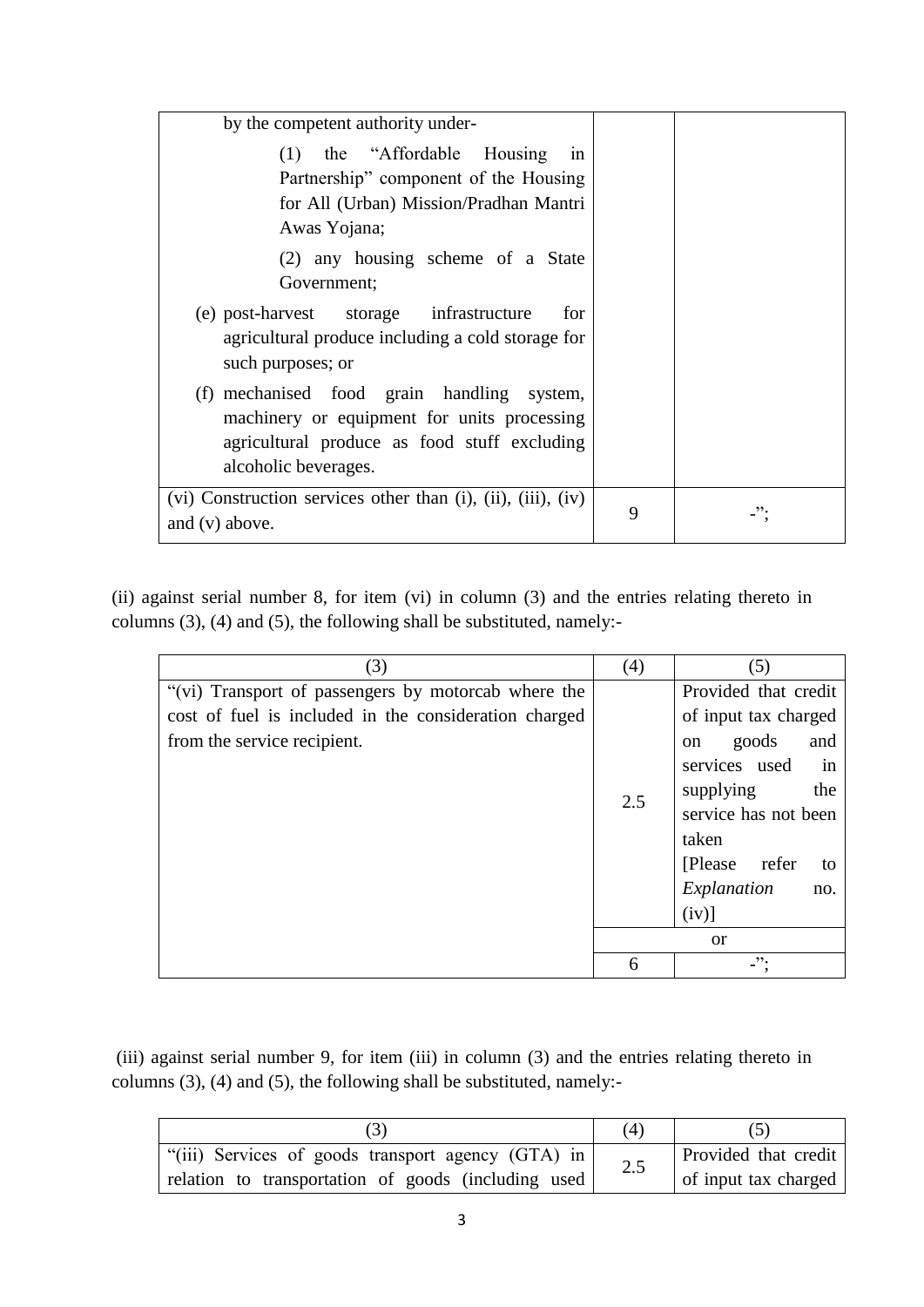| by the competent authority under-                                                                                                                                    |   |  |
|----------------------------------------------------------------------------------------------------------------------------------------------------------------------|---|--|
| the "Affordable Housing"<br>(1)<br>1n<br>Partnership" component of the Housing<br>for All (Urban) Mission/Pradhan Mantri<br>Awas Yojana;                             |   |  |
| (2) any housing scheme of a State<br>Government;                                                                                                                     |   |  |
| (e) post-harvest storage infrastructure<br>for<br>agricultural produce including a cold storage for<br>such purposes; or                                             |   |  |
| (f) mechanised food grain handling<br>system,<br>machinery or equipment for units processing<br>agricultural produce as food stuff excluding<br>alcoholic beverages. |   |  |
| $(vi)$ Construction services other than $(i)$ , $(ii)$ , $(iii)$ , $(iv)$<br>and $(v)$ above.                                                                        | 9 |  |

(ii) against serial number 8, for item (vi) in column (3) and the entries relating thereto in columns (3), (4) and (5), the following shall be substituted, namely:-

| (3)                                                   | (4) | (5)                           |  |  |
|-------------------------------------------------------|-----|-------------------------------|--|--|
| "(vi) Transport of passengers by motorcab where the   |     | Provided that credit          |  |  |
| cost of fuel is included in the consideration charged |     | of input tax charged          |  |  |
| from the service recipient.                           |     | goods<br>and<br><sub>on</sub> |  |  |
|                                                       |     | services used<br>in           |  |  |
|                                                       | 2.5 | supplying<br>the              |  |  |
|                                                       |     | service has not been          |  |  |
|                                                       |     | taken                         |  |  |
|                                                       |     | [Please refer<br>to           |  |  |
|                                                       |     | Explanation<br>no.            |  |  |
|                                                       |     | $(iv)$ ]                      |  |  |
|                                                       |     | <sub>or</sub>                 |  |  |
|                                                       | 6   | ".                            |  |  |

(iii) against serial number 9, for item (iii) in column (3) and the entries relating thereto in columns (3), (4) and (5), the following shall be substituted, namely:-

|                                                     | (4) |                      |
|-----------------------------------------------------|-----|----------------------|
| "(iii) Services of goods transport agency (GTA) in  | 2.5 | Provided that credit |
| relation to transportation of goods (including used |     | of input tax charged |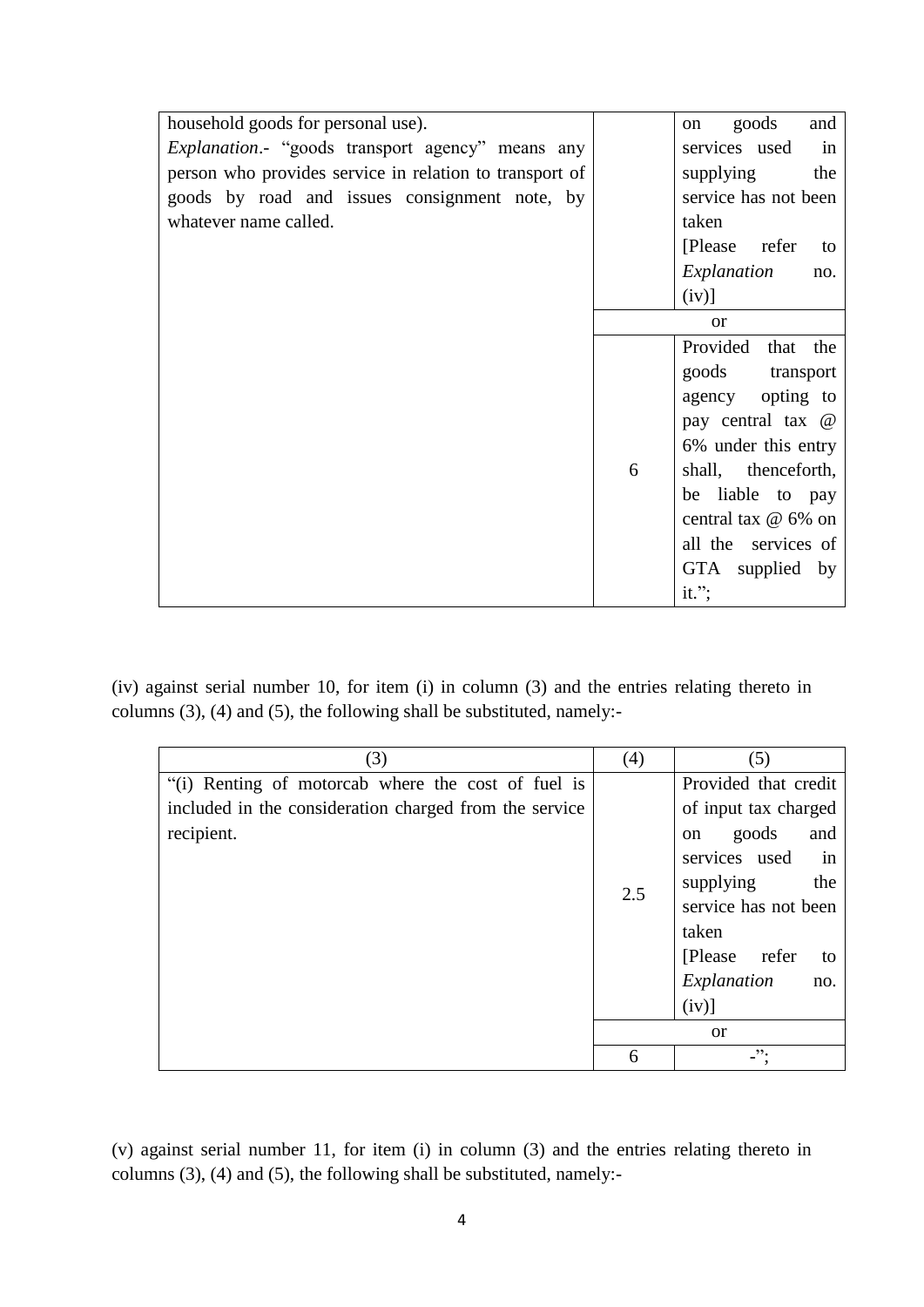| household goods for personal use).                       |   | goods<br>and<br><sub>on</sub> |
|----------------------------------------------------------|---|-------------------------------|
| <i>Explanation</i> .- "goods transport agency" means any |   | services used<br>in           |
| person who provides service in relation to transport of  |   | supplying<br>the              |
| goods by road and issues consignment note, by            |   | service has not been          |
| whatever name called.                                    |   | taken                         |
|                                                          |   | [Please refer<br>to           |
|                                                          |   | Explanation<br>no.            |
|                                                          |   | $(iv)$ ]                      |
|                                                          |   | $\alpha$                      |
|                                                          |   | Provided that the             |
|                                                          |   | goods transport               |
|                                                          |   | agency opting to              |
|                                                          |   | pay central tax @             |
|                                                          |   | 6% under this entry           |
|                                                          | 6 | shall, thenceforth,           |
|                                                          |   | be liable to pay              |
|                                                          |   | central tax @ 6% on           |
|                                                          |   | all the services of           |
|                                                          |   | GTA supplied by               |
|                                                          |   | it.";                         |

(iv) against serial number 10, for item (i) in column (3) and the entries relating thereto in columns (3), (4) and (5), the following shall be substituted, namely:-

| (3)                                                    | (4) | (5)                  |  |  |  |
|--------------------------------------------------------|-----|----------------------|--|--|--|
| "(i) Renting of motorcab where the cost of fuel is     |     | Provided that credit |  |  |  |
| included in the consideration charged from the service |     | of input tax charged |  |  |  |
| recipient.                                             |     | goods<br>and<br>on   |  |  |  |
|                                                        |     | services used in     |  |  |  |
|                                                        | 2.5 | supplying<br>the     |  |  |  |
|                                                        |     | service has not been |  |  |  |
|                                                        |     | taken                |  |  |  |
|                                                        |     | [Please refer<br>to  |  |  |  |
|                                                        |     | Explanation<br>no.   |  |  |  |
|                                                        |     | $(iv)$ ]             |  |  |  |
|                                                        |     | <sub>or</sub>        |  |  |  |
|                                                        | 6   | -".                  |  |  |  |

(v) against serial number 11, for item (i) in column (3) and the entries relating thereto in columns (3), (4) and (5), the following shall be substituted, namely:-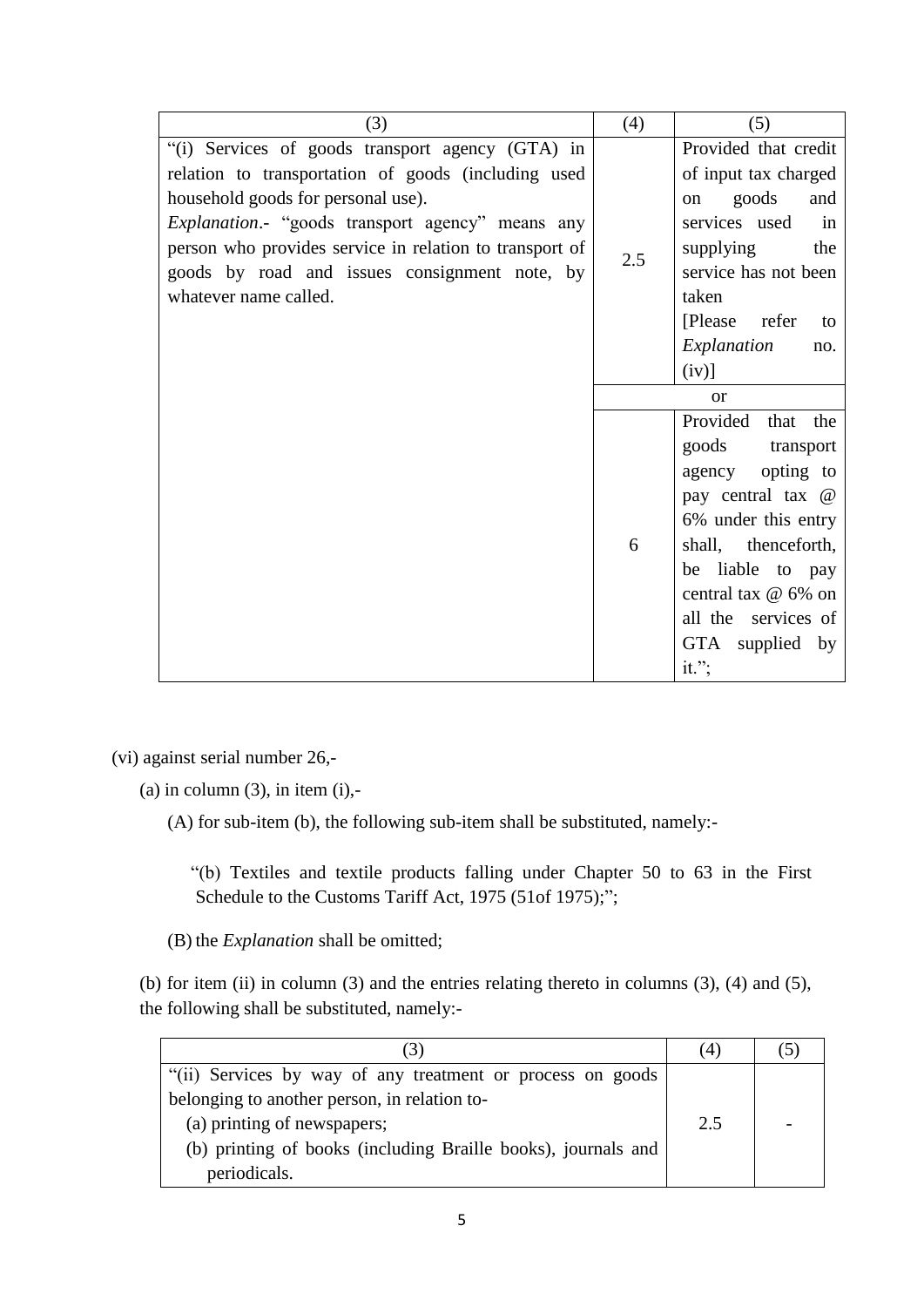| (3)                                                      | (4) | (5)                  |  |
|----------------------------------------------------------|-----|----------------------|--|
| "(i) Services of goods transport agency (GTA) in         |     | Provided that credit |  |
| relation to transportation of goods (including used      |     | of input tax charged |  |
| household goods for personal use).                       |     | goods<br>and<br>on   |  |
| <i>Explanation</i> .- "goods transport agency" means any |     | services used<br>in  |  |
| person who provides service in relation to transport of  | 2.5 | supplying<br>the     |  |
| goods by road and issues consignment note, by            |     | service has not been |  |
| whatever name called.                                    |     | taken                |  |
|                                                          |     | [Please refer<br>to  |  |
|                                                          |     | Explanation<br>no.   |  |
|                                                          |     | $(iv)$ ]             |  |
|                                                          |     | <b>or</b>            |  |
|                                                          |     | Provided that the    |  |
|                                                          |     | goods transport      |  |
|                                                          |     | opting to<br>agency  |  |
|                                                          |     | pay central tax @    |  |
|                                                          |     | 6% under this entry  |  |
|                                                          | 6   | shall, thenceforth,  |  |
|                                                          |     | be liable to pay     |  |
|                                                          |     | central tax @ 6% on  |  |
|                                                          |     | all the services of  |  |
|                                                          |     | GTA supplied by      |  |
|                                                          |     | $it.$ ";             |  |

(vi) against serial number 26,-

 $(a)$  in column  $(3)$ , in item  $(i)$ ,-

(A) for sub-item (b), the following sub-item shall be substituted, namely:-

 "(b) Textiles and textile products falling under Chapter 50 to 63 in the First Schedule to the Customs Tariff Act, 1975 (51of 1975);";

(B) the *Explanation* shall be omitted;

(b) for item (ii) in column (3) and the entries relating thereto in columns (3), (4) and (5), the following shall be substituted, namely:-

| (3)                                                           |     |  |
|---------------------------------------------------------------|-----|--|
| "(ii) Services by way of any treatment or process on goods    |     |  |
| belonging to another person, in relation to-                  |     |  |
| (a) printing of newspapers;                                   | 2.5 |  |
| (b) printing of books (including Braille books), journals and |     |  |
| periodicals.                                                  |     |  |